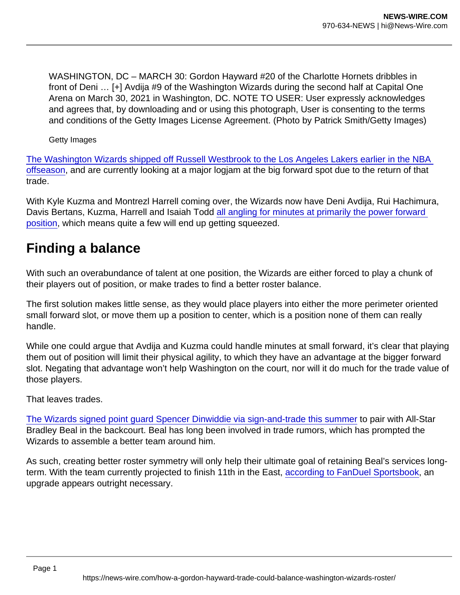WASHINGTON, DC – MARCH 30: Gordon Hayward #20 of the Charlotte Hornets dribbles in front of Deni … [+] Avdija #9 of the Washington Wizards during the second half at Capital One Arena on March 30, 2021 in Washington, DC. NOTE TO USER: User expressly acknowledges and agrees that, by downloading and or using this photograph, User is consenting to the terms and conditions of the Getty Images License Agreement. (Photo by Patrick Smith/Getty Images)

Getty Images

[The Washington Wizards shipped off Russell Westbrook to the Los Angeles Lakers earlier in the NBA](https://www.espn.com/nba/story/_/id/31913935/sources-los-angeles-lakers-nearing-deal-acquire-russell-westbrook-send-3-player-package-pick-washington-wizards)  [offseason](https://www.espn.com/nba/story/_/id/31913935/sources-los-angeles-lakers-nearing-deal-acquire-russell-westbrook-send-3-player-package-pick-washington-wizards), and are currently looking at a major logjam at the big forward spot due to the return of that trade.

With Kyle Kuzma and Montrezl Harrell coming over, the Wizards now have Deni Avdija, Rui Hachimura, Davis Bertans, Kuzma, Harrell and Isaiah Todd [all angling for minutes at primarily the power forward](https://www.espn.com/nba/team/depth/_/name/wsh/washington-wizards)  [position](https://www.espn.com/nba/team/depth/_/name/wsh/washington-wizards), which means quite a few will end up getting squeezed.

## Finding a balance

With such an overabundance of talent at one position, the Wizards are either forced to play a chunk of their players out of position, or make trades to find a better roster balance.

The first solution makes little sense, as they would place players into either the more perimeter oriented small forward slot, or move them up a position to center, which is a position none of them can really handle.

While one could argue that Avdija and Kuzma could handle minutes at small forward, it's clear that playing them out of position will limit their physical agility, to which they have an advantage at the bigger forward slot. Negating that advantage won't help Washington on the court, nor will it do much for the trade value of those players.

That leaves trades.

[The Wizards signed point guard Spencer Dinwiddie via sign-and-trade this summer](https://www.espn.com/nba/story/_/id/31959304/washington-wizards-get-spencer-dinwiddie-sign-trade-deal) to pair with All-Star Bradley Beal in the backcourt. Beal has long been involved in trade rumors, which has prompted the Wizards to assemble a better team around him.

As such, creating better roster symmetry will only help their ultimate goal of retaining Beal's services longterm. With the team currently projected to finish 11th in the East, [according to FanDuel Sportsbook,](https://sportsbook.fanduel.com/navigation/nba?tab=con-div-winners) an upgrade appears outright necessary.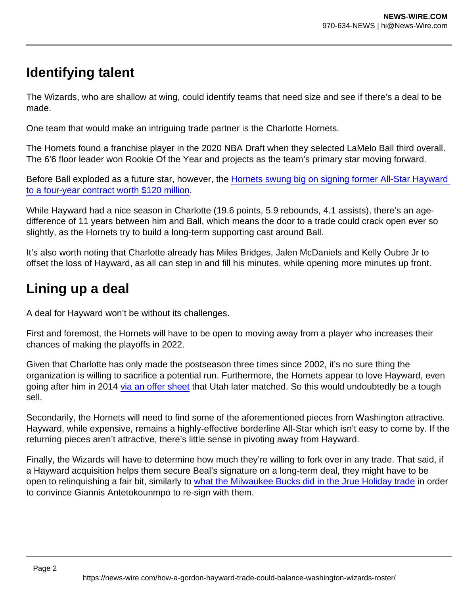# Identifying talent

The Wizards, who are shallow at wing, could identify teams that need size and see if there's a deal to be made.

One team that would make an intriguing trade partner is the Charlotte Hornets.

The Hornets found a franchise player in the 2020 NBA Draft when they selected LaMelo Ball third overall. The 6'6 floor leader won Rookie Of the Year and projects as the team's primary star moving forward.

Before Ball exploded as a future star, however, the [Hornets swung big on signing former All-Star Hayward](https://www.espn.com/nba/story/_/id/30416502/charlotte-hornets-complete-sign-trade-boston-celtics-acquire-gordon-hayward)  [to a four-year contract worth \\$120 million](https://www.espn.com/nba/story/_/id/30416502/charlotte-hornets-complete-sign-trade-boston-celtics-acquire-gordon-hayward).

While Hayward had a nice season in Charlotte (19.6 points, 5.9 rebounds, 4.1 assists), there's an agedifference of 11 years between him and Ball, which means the door to a trade could crack open ever so slightly, as the Hornets try to build a long-term supporting cast around Ball.

It's also worth noting that Charlotte already has Miles Bridges, Jalen McDaniels and Kelly Oubre Jr to offset the loss of Hayward, as all can step in and fill his minutes, while opening more minutes up front.

### Lining up a deal

A deal for Hayward won't be without its challenges.

First and foremost, the Hornets will have to be open to moving away from a player who increases their chances of making the playoffs in 2022.

Given that Charlotte has only made the postseason three times since 2002, it's no sure thing the organization is willing to sacrifice a potential run. Furthermore, the Hornets appear to love Hayward, even going after him in 2014 [via an offer sheet](https://www.espn.com/nba/story/_/id/11193887/gordon-hayward-charlotte-hornets-agree-63-million-offer-sheet) that Utah later matched. So this would undoubtedly be a tough sell.

Secondarily, the Hornets will need to find some of the aforementioned pieces from Washington attractive. Hayward, while expensive, remains a highly-effective borderline All-Star which isn't easy to come by. If the returning pieces aren't attractive, there's little sense in pivoting away from Hayward.

Finally, the Wizards will have to determine how much they're willing to fork over in any trade. That said, if a Hayward acquisition helps them secure Beal's signature on a long-term deal, they might have to be open to relinquishing a fair bit, similarly to [what the Milwaukee Bucks did in the Jrue Holiday trade](https://www.nba.com/news/reports-bucks-to-acquire-holiday-from-pelicans) in order to convince Giannis Antetokounmpo to re-sign with them.